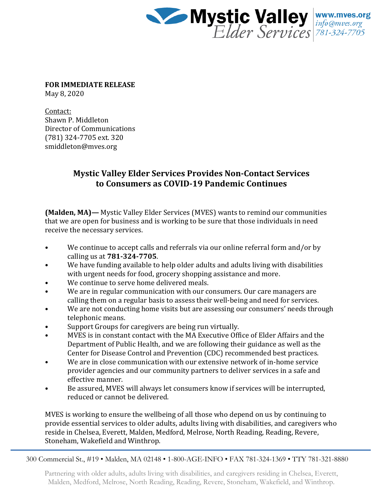

**FOR IMMEDIATE RELEASE** May 8, 2020

Contact: Shawn P. Middleton Director of Communications (781) 324-7705 ext. 320 smiddleton@mves.org

## **Mystic Valley Elder Services Provides Non-Contact Services to Consumers as COVID-19 Pandemic Continues**

**(Malden, MA)—** Mystic Valley Elder Services (MVES) wants to remind our communities that we are open for business and is working to be sure that those individuals in need receive the necessary services.

- We continue to accept calls and referrals via our online referral form and/or by calling us at **781-324-7705**.
- We have funding available to help older adults and adults living with disabilities with urgent needs for food, grocery shopping assistance and more.
- We continue to serve home delivered meals.
- We are in regular communication with our consumers. Our care managers are calling them on a regular basis to assess their well-being and need for services.
- We are not conducting home visits but are assessing our consumers' needs through telephonic means.
- Support Groups for caregivers are being run virtually.
- MVES is in constant contact with the MA Executive Office of Elder Affairs and the Department of Public Health, and we are following their guidance as well as the Center for Disease Control and Prevention (CDC) recommended best practices.
- We are in close communication with our extensive network of in-home service provider agencies and our community partners to deliver services in a safe and effective manner.
- Be assured, MVES will always let consumers know if services will be interrupted, reduced or cannot be delivered.

MVES is working to ensure the wellbeing of all those who depend on us by continuing to provide essential services to older adults, adults living with disabilities, and caregivers who reside in Chelsea, Everett, Malden, Medford, Melrose, North Reading, Reading, Revere, Stoneham, Wakefield and Winthrop.

300 Commercial St., #19 • Malden, MA 02148 • 1-800-AGE-INFO • FAX 781-324-1369 • TTY 781-321-8880

Partnering with older adults, adults living with disabilities, and caregivers residing in Chelsea, Everett, Malden, Medford, Melrose, North Reading, Reading, Revere, Stoneham, Wakefield, and Winthrop.